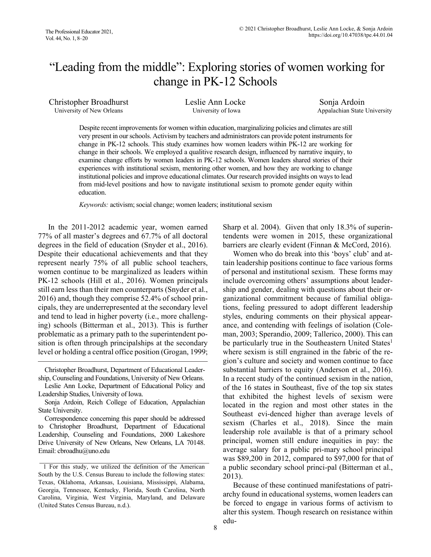# "Leading from the middle": Exploring stories of women working for change in PK-12 Schools

Christopher Broadhurst Leslie Ann Locke Sonja Ardoin University of New Orleans **University of Iowa** Appalachian State University of Iowa

 change in PK-12 schools. This study examines how women leaders within PK-12 are working for change in their schools. We employed a qualitive research design, influenced by narrative inquiry, to institutional policies and improve educational climates. Our research provided insights on ways to lead from mid-level positions and how to navigate institutional sexism to promote gender equity within Despite recent improvements for women within education, marginalizing policies and climates are still very present in our schools. Activism by teachers and administrators can provide potent instruments for examine change efforts by women leaders in PK-12 schools. Women leaders shared stories of their experiences with institutional sexism, mentoring other women, and how they are working to change education.

*Keywords:* activism; social change; women leaders; institutional sexism

In the 2011-2012 academic year, women earned 77% of all master's degrees and 67.7% of all doctoral degrees in the field of education (Snyder et al., 2016). Despite their educational achievements and that they represent nearly 75% of all public school teachers, women continue to be marginalized as leaders within PK-12 schools (Hill et al., 2016). Women principals still earn less than their men counterparts (Snyder et al., 2016) and, though they comprise 52.4% of school principals, they are underrepresented at the secondary level and tend to lead in higher poverty (i.e., more challenging) schools (Bitterman et al., 2013). This is further problematic as a primary path to the superintendent position is often through principalships at the secondary level or holding a central office position (Grogan, 1999;

Christopher Broadhurst, Department of Educational Leadership, Counseling and Foundations, University of New Orleans.

Leslie Ann Locke, Department of Educational Policy and Leadership Studies, University of Iowa.

 Sonja Ardoin, Reich College of Education, Appalachian State University.

 Correspondence concerning this paper should be addressed Drive University of New Orleans, New Orleans, LA 70148. to Christopher Broadhurst, Department of Educational Leadership, Counseling and Foundations, 2000 Lakeshore Email: cbroadhu@uno.edu

Sharp et al. 2004). Given that only 18.3% of superintendents were women in 2015, these organizational barriers are clearly evident (Finnan & McCord, 2016).

Women who do break into this 'boys' club' and attain leadership positions continue to face various forms of personal and institutional sexism. These forms may include overcoming others' assumptions about leadership and gender, dealing with questions about their organizational commitment because of familial obligations, feeling pressured to adopt different leadership styles, enduring comments on their physical appearance, and contending with feelings of isolation (Coleman, 2003; Sperandio, 2009; Tallerico, 2000). This can be particularly true in the Southeastern United States<sup>1</sup> where sexism is still engrained in the fabric of the region's culture and society and women continue to face substantial barriers to equity (Anderson et al., 2016). In a recent study of the continued sexism in the nation, of the 16 states in Southeast, five of the top six states that exhibited the highest levels of sexism were located in the region and most other states in the Southeast evi-denced higher than average levels of sexism (Charles et al., 2018). Since the main leadership role available is that of a primary school principal, women still endure inequities in pay: the average salary for a public pri-mary school principal was \$89,200 in 2012, compared to \$97,000 for that of a public secondary school princi-pal (Bitterman et al., 2013).

Because of these continued manifestations of patriarchy found in educational systems, women leaders can be forced to engage in various forms of activism to alter this system. Though research on resistance within edu-

<sup>1</sup> For this study, we utilized the definition of the American South by the U.S. Census Bureau to include the following states: Texas, Oklahoma, Arkansas, Louisiana, Mississippi, Alabama, Georgia, Tennessee, Kentucky, Florida, South Carolina, North Carolina, Virginia, West Virginia, Maryland, and Delaware (United States Census Bureau, n.d.).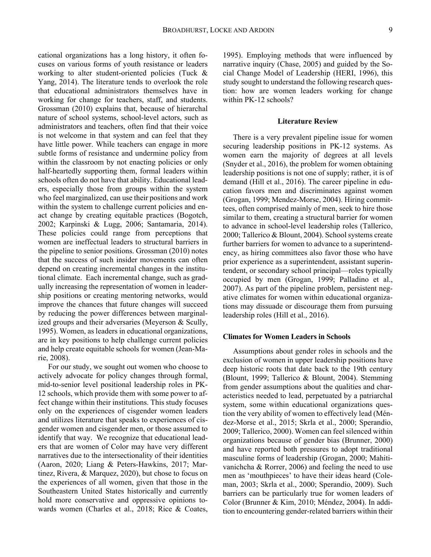rie, 2008). cational organizations has a long history, it often focuses on various forms of youth resistance or leaders working to alter student-oriented policies (Tuck & Yang, 2014). The literature tends to overlook the role that educational administrators themselves have in working for change for teachers, staff, and students. Grossman (2010) explains that, because of hierarchal nature of school systems, school-level actors, such as administrators and teachers, often find that their voice is not welcome in that system and can feel that they have little power. While teachers can engage in more subtle forms of resistance and undermine policy from within the classroom by not enacting policies or only half-heartedly supporting them, formal leaders within schools often do not have that ability. Educational leaders, especially those from groups within the system who feel marginalized, can use their positions and work within the system to challenge current policies and enact change by creating equitable practices (Bogotch, 2002; Karpinski & Lugg, 2006; Santamaria, 2014). These policies could range from perceptions that women are ineffectual leaders to structural barriers in the pipeline to senior positions. Grossman (2010) notes that the success of such insider movements can often depend on creating incremental changes in the institutional climate. Each incremental change, such as gradually increasing the representation of women in leadership positions or creating mentoring networks, would improve the chances that future changes will succeed by reducing the power differences between marginalized groups and their adversaries (Meyerson & Scully, 1995). Women, as leaders in educational organizations, are in key positions to help challenge current policies and help create equitable schools for women (Jean-Ma-

For our study, we sought out women who choose to actively advocate for policy changes through formal, mid-to-senior level positional leadership roles in PK-12 schools, which provide them with some power to affect change within their institutions. This study focuses only on the experiences of cisgender women leaders and utilizes literature that speaks to experiences of cisgender women and cisgender men, or those assumed to identify that way. We recognize that educational leaders that are women of Color may have very different narratives due to the intersectionality of their identities (Aaron, 2020; Liang & Peters-Hawkins, 2017; Martinez, Rivera, & Marquez, 2020), but chose to focus on the experiences of all women, given that those in the Southeastern United States historically and currently hold more conservative and oppressive opinions towards women (Charles et al., 2018; Rice & Coates,

1995). Employing methods that were influenced by narrative inquiry (Chase, 2005) and guided by the Social Change Model of Leadership (HERI, 1996), this study sought to understand the following research question: how are women leaders working for change within PK-12 schools?

## **Literature Review**

There is a very prevalent pipeline issue for women securing leadership positions in PK-12 systems. As women earn the majority of degrees at all levels (Snyder et al., 2016), the problem for women obtaining leadership positions is not one of supply; rather, it is of demand (Hill et al., 2016). The career pipeline in education favors men and discriminates against women (Grogan, 1999; Mendez-Morse, 2004). Hiring committees, often comprised mainly of men, seek to hire those similar to them, creating a structural barrier for women to advance in school-level leadership roles (Tallerico, 2000; Tallerico & Blount, 2004). School systems create further barriers for women to advance to a superintendency, as hiring committees also favor those who have prior experience as a superintendent, assistant superintendent, or secondary school principal—roles typically occupied by men (Grogan, 1999; Palladino et al., 2007). As part of the pipeline problem, persistent negative climates for women within educational organizations may dissuade or discourage them from pursuing leadership roles (Hill et al., 2016).

## **Climates for Women Leaders in Schools**

Assumptions about gender roles in schools and the exclusion of women in upper leadership positions have deep historic roots that date back to the 19th century (Blount, 1999; Tallerico & Blount, 2004). Stemming from gender assumptions about the qualities and characteristics needed to lead, perpetuated by a patriarchal system, some within educational organizations question the very ability of women to effectively lead (Méndez-Morse et al., 2015; Skrla et al., 2000; Sperandio, 2009; Tallerico, 2000). Women can feel silenced within organizations because of gender bias (Brunner, 2000) and have reported both pressures to adopt traditional masculine forms of leadership (Grogan, 2000; Mahitivanichcha & Rorrer, 2006) and feeling the need to use men as 'mouthpieces' to have their ideas heard (Coleman, 2003; Skrla et al., 2000; Sperandio, 2009). Such barriers can be particularly true for women leaders of Color (Brunner & Kim, 2010; Méndez, 2004). In addition to encountering gender-related barriers within their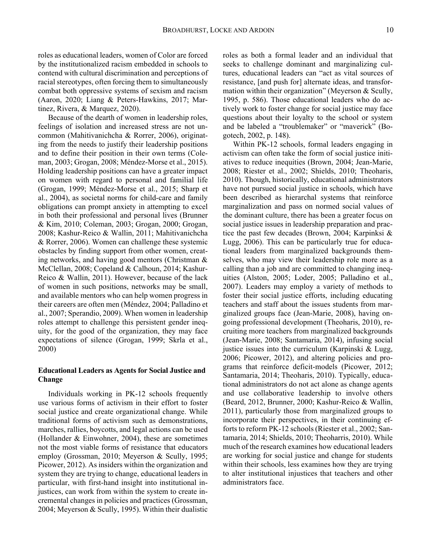roles as educational leaders, women of Color are forced by the institutionalized racism embedded in schools to contend with cultural discrimination and perceptions of racial stereotypes, often forcing them to simultaneously combat both oppressive systems of sexism and racism (Aaron, 2020; Liang & Peters-Hawkins, 2017; Martinez, Rivera, & Marquez, 2020).

Because of the dearth of women in leadership roles, feelings of isolation and increased stress are not uncommon (Mahitivanichcha & Rorrer, 2006), originating from the needs to justify their leadership positions and to define their position in their own terms (Coleman, 2003; Grogan, 2008; Méndez-Morse et al., 2015). Holding leadership positions can have a greater impact on women with regard to personal and familial life (Grogan, 1999; Méndez-Morse et al., 2015; Sharp et al., 2004), as societal norms for child-care and family obligations can prompt anxiety in attempting to excel in both their professional and personal lives (Brunner & Kim, 2010; Coleman, 2003; Grogan, 2000; Grogan, 2008; Kashur-Reico & Wallin, 2011; Mahitivanichcha & Rorrer, 2006). Women can challenge these systemic obstacles by finding support from other women, creating networks, and having good mentors (Christman & McClellan, 2008; Copeland & Calhoun, 2014; Kashur-Reico & Wallin, 2011). However, because of the lack of women in such positions, networks may be small, and available mentors who can help women progress in their careers are often men (Méndez, 2004; Palladino et al., 2007; Sperandio, 2009). When women in leadership roles attempt to challenge this persistent gender inequity, for the good of the organization, they may face expectations of silence (Grogan, 1999; Skrla et al., 2000)

# **Educational Leaders as Agents for Social Justice and Change**

Individuals working in PK-12 schools frequently use various forms of activism in their effort to foster social justice and create organizational change. While traditional forms of activism such as demonstrations, marches, rallies, boycotts, and legal actions can be used (Hollander & Einwohner, 2004), these are sometimes not the most viable forms of resistance that educators employ (Grossman, 2010; Meyerson & Scully, 1995; Picower, 2012). As insiders within the organization and system they are trying to change, educational leaders in particular, with first-hand insight into institutional injustices, can work from within the system to create incremental changes in policies and practices (Grossman, 2004; Meyerson & Scully, 1995). Within their dualistic roles as both a formal leader and an individual that seeks to challenge dominant and marginalizing cultures, educational leaders can "act as vital sources of resistance, [and push for] alternate ideas, and transformation within their organization" (Meyerson & Scully, 1995, p. 586). Those educational leaders who do actively work to foster change for social justice may face questions about their loyalty to the school or system and be labeled a "troublemaker" or "maverick" (Bogotech, 2002, p. 148).

Within PK-12 schools, formal leaders engaging in activism can often take the form of social justice initiatives to reduce inequities (Brown, 2004; Jean-Marie, 2008; Riester et al., 2002; Shields, 2010; Theoharis, 2010). Though, historically, educational administrators have not pursued social justice in schools, which have been described as hierarchal systems that reinforce marginalization and pass on normed social values of the dominant culture, there has been a greater focus on social justice issues in leadership preparation and practice the past few decades (Brown, 2004; Karpinksi & Lugg, 2006). This can be particularly true for educational leaders from marginalized backgrounds themselves, who may view their leadership role more as a calling than a job and are committed to changing inequities (Alston, 2005; Loder, 2005; Palladino et al., 2007). Leaders may employ a variety of methods to foster their social justice efforts, including educating teachers and staff about the issues students from marginalized groups face (Jean-Marie, 2008), having ongoing professional development (Theoharis, 2010), recruiting more teachers from marginalized backgrounds (Jean-Marie, 2008; Santamaria, 2014), infusing social justice issues into the curriculum (Karpinski & Lugg, 2006; Picower, 2012), and altering policies and programs that reinforce deficit-models (Picower, 2012; Santamaria, 2014; Theoharis, 2010). Typically, educational administrators do not act alone as change agents and use collaborative leadership to involve others (Beard, 2012, Brunner, 2000; Kashur-Reico & Wallin, 2011), particularly those from marginalized groups to incorporate their perspectives, in their continuing efforts to reform PK-12 schools (Riester et al., 2002; Santamaria, 2014; Shields, 2010; Theoharris, 2010). While much of the research examines how educational leaders are working for social justice and change for students within their schools, less examines how they are trying to alter institutional injustices that teachers and other administrators face.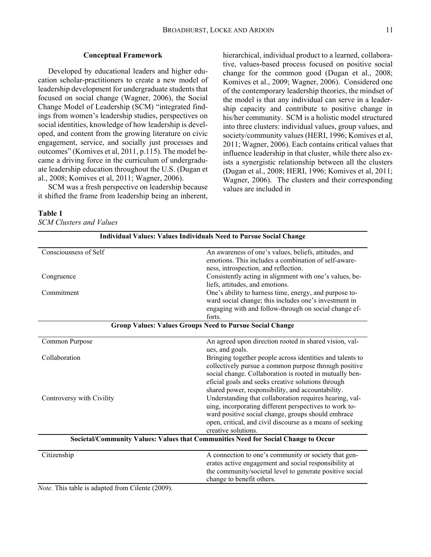values are included in

hierarchical, individual product to a learned, collaborative, values-based process focused on positive social change for the common good (Dugan et al., 2008; Komives et al., 2009; Wagner, 2006). Considered one of the contemporary leadership theories, the mindset of the model is that any individual can serve in a leadership capacity and contribute to positive change in his/her community. SCM is a holistic model structured into three clusters: individual values, group values, and society/community values (HERI, 1996; Komives et al, 2011; Wagner, 2006). Each contains critical values that influence leadership in that cluster, while there also exists a synergistic relationship between all the clusters (Dugan et al., 2008; HERI, 1996; Komives et al, 2011; Wagner, 2006). The clusters and their corresponding

# **Conceptual Framework**

Developed by educational leaders and higher education scholar-practitioners to create a new model of leadership development for undergraduate students that focused on social change (Wagner, 2006), the Social Change Model of Leadership (SCM) "integrated findings from women's leadership studies, perspectives on social identities, knowledge of how leadership is developed, and content from the growing literature on civic engagement, service, and socially just processes and outcomes" (Komives et al, 2011, p.115). The model became a driving force in the curriculum of undergraduate leadership education throughout the U.S. (Dugan et al., 2008; Komives et al, 2011; Wagner, 2006).

SCM was a fresh perspective on leadership because it shifted the frame from leadership being an inherent,

**Table 1** 

*SCM Clusters and Values* 

| <b>Individual Values: Values Individuals Need to Pursue Social Change</b> |                                                                                                               |  |  |
|---------------------------------------------------------------------------|---------------------------------------------------------------------------------------------------------------|--|--|
| Consciousness of Self                                                     | An awareness of one's values, beliefs, attitudes, and<br>emotions. This includes a combination of self-aware- |  |  |
|                                                                           | ness, introspection, and reflection.                                                                          |  |  |
| Congruence                                                                | Consistently acting in alignment with one's values, be-                                                       |  |  |
|                                                                           | liefs, attitudes, and emotions.                                                                               |  |  |
| Commitment                                                                | One's ability to harness time, energy, and purpose to-                                                        |  |  |
|                                                                           | ward social change; this includes one's investment in                                                         |  |  |
|                                                                           | engaging with and follow-through on social change ef-<br>forts.                                               |  |  |
| <b>Group Values: Values Groups Need to Pursue Social Change</b>           |                                                                                                               |  |  |
| Common Purpose                                                            | An agreed upon direction rooted in shared vision, val-                                                        |  |  |
|                                                                           | ues, and goals.                                                                                               |  |  |
| Collaboration                                                             | Bringing together people across identities and talents to                                                     |  |  |
|                                                                           | collectively pursue a common purpose through positive                                                         |  |  |
|                                                                           | social change. Collaboration is rooted in mutually ben-<br>eficial goals and seeks creative solutions through |  |  |
|                                                                           | shared power, responsibility, and accountability.                                                             |  |  |
| Controversy with Civility                                                 | Understanding that collaboration requires hearing, val-                                                       |  |  |
|                                                                           | uing, incorporating different perspectives to work to-                                                        |  |  |
|                                                                           | ward positive social change, groups should embrace                                                            |  |  |
|                                                                           | open, critical, and civil discourse as a means of seeking                                                     |  |  |
|                                                                           | creative solutions.                                                                                           |  |  |
|                                                                           | Societal/Community Values: Values that Communities Need for Social Change to Occur                            |  |  |
| Citizenship                                                               | A connection to one's community or society that gen-                                                          |  |  |
|                                                                           | erates active engagement and social responsibility at                                                         |  |  |
|                                                                           | the community/societal level to generate positive social                                                      |  |  |
| Note This toble is adopted from Cilente (2000)                            | change to benefit others.                                                                                     |  |  |

*Note.* This table is adapted from Cilente (2009).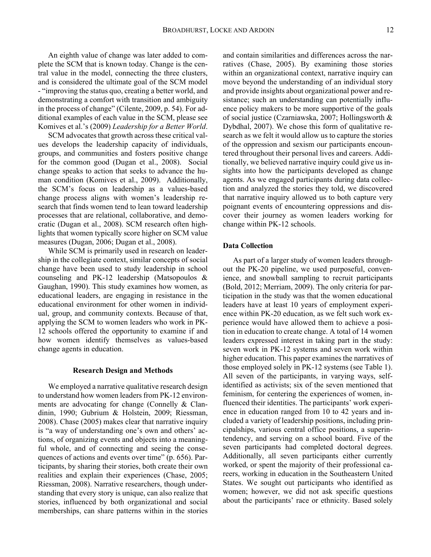An eighth value of change was later added to complete the SCM that is known today. Change is the central value in the model, connecting the three clusters, and is considered the ultimate goal of the SCM model - "improving the status quo, creating a better world, and demonstrating a comfort with transition and ambiguity in the process of change" (Cilente, 2009, p. 54). For additional examples of each value in the SCM, please see Komives et al.'s (2009) *Leadership for a Better World*.

SCM advocates that growth across these critical values develops the leadership capacity of individuals, groups, and communities and fosters positive change for the common good (Dugan et al., 2008). Social change speaks to action that seeks to advance the human condition (Komives et al., 2009). Additionally, the SCM's focus on leadership as a values-based change process aligns with women's leadership research that finds women tend to lean toward leadership processes that are relational, collaborative, and democratic (Dugan et al., 2008). SCM research often highlights that women typically score higher on SCM value measures (Dugan, 2006; Dugan et al., 2008).

While SCM is primarily used in research on leadership in the collegiate context, similar concepts of social change have been used to study leadership in school counseling and PK-12 leadership (Matsopoulos & Gaughan, 1990). This study examines how women, as educational leaders, are engaging in resistance in the educational environment for other women in individual, group, and community contexts. Because of that, applying the SCM to women leaders who work in PK-12 schools offered the opportunity to examine if and how women identify themselves as values-based change agents in education.

# **Research Design and Methods**

We employed a narrative qualitative research design to understand how women leaders from PK-12 environments are advocating for change (Connelly & Clandinin, 1990; Gubrium & Holstein, 2009; Riessman, 2008). Chase (2005) makes clear that narrative inquiry is "a way of understanding one's own and others' actions, of organizing events and objects into a meaningful whole, and of connecting and seeing the consequences of actions and events over time" (p. 656). Participants, by sharing their stories, both create their own realities and explain their experiences (Chase, 2005; Riessman, 2008). Narrative researchers, though understanding that every story is unique, can also realize that stories, influenced by both organizational and social memberships, can share patterns within in the stories and contain similarities and differences across the narratives (Chase, 2005). By examining those stories within an organizational context, narrative inquiry can move beyond the understanding of an individual story and provide insights about organizational power and resistance; such an understanding can potentially influence policy makers to be more supportive of the goals of social justice (Czarniawska, 2007; Hollingsworth & Dybdhal, 2007). We chose this form of qualitative research as we felt it would allow us to capture the stories of the oppression and sexism our participants encountered throughout their personal lives and careers. Additionally, we believed narrative inquiry could give us insights into how the participants developed as change agents. As we engaged participants during data collection and analyzed the stories they told, we discovered that narrative inquiry allowed us to both capture very poignant events of encountering oppressions and discover their journey as women leaders working for change within PK-12 schools.

# **Data Collection**

seven participants had completed doctoral degrees. As part of a larger study of women leaders throughout the PK-20 pipeline, we used purposeful, convenience, and snowball sampling to recruit participants (Bold, 2012; Merriam, 2009). The only criteria for participation in the study was that the women educational leaders have at least 10 years of employment experience within PK-20 education, as we felt such work experience would have allowed them to achieve a position in education to create change. A total of 14 women leaders expressed interest in taking part in the study: seven work in PK-12 systems and seven work within higher education. This paper examines the narratives of those employed solely in PK-12 systems (see Table 1). All seven of the participants, in varying ways, selfidentified as activists; six of the seven mentioned that feminism, for centering the experiences of women, influenced their identities. The participants' work experience in education ranged from 10 to 42 years and included a variety of leadership positions, including principalships, various central office positions, a superintendency, and serving on a school board. Five of the Additionally, all seven participants either currently worked, or spent the majority of their professional careers, working in education in the Southeastern United States. We sought out participants who identified as women; however, we did not ask specific questions about the participants' race or ethnicity. Based solely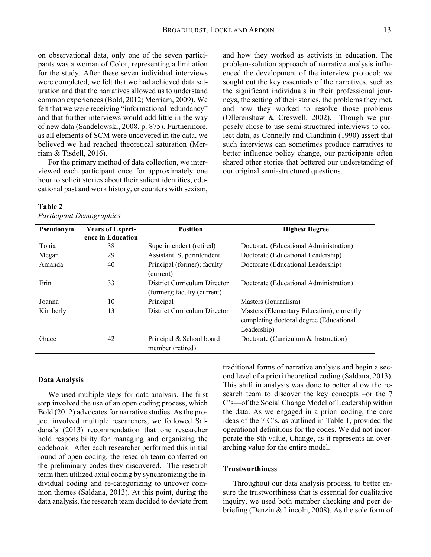on observational data, only one of the seven participants was a woman of Color, representing a limitation for the study. After these seven individual interviews were completed, we felt that we had achieved data saturation and that the narratives allowed us to understand common experiences (Bold, 2012; Merriam, 2009). We felt that we were receiving "informational redundancy" and that further interviews would add little in the way of new data (Sandelowski, 2008, p. 875). Furthermore, as all elements of SCM were uncovered in the data, we believed we had reached theoretical saturation (Merriam & Tisdell, 2016).

For the primary method of data collection, we interviewed each participant once for approximately one hour to solicit stories about their salient identities, educational past and work history, encounters with sexism, and how they worked as activists in education. The problem-solution approach of narrative analysis influenced the development of the interview protocol; we sought out the key essentials of the narratives, such as the significant individuals in their professional journeys, the setting of their stories, the problems they met, and how they worked to resolve those problems (Ollerenshaw & Creswell, 2002). Though we purposely chose to use semi-structured interviews to collect data, as Connelly and Clandinin (1990) assert that such interviews can sometimes produce narratives to better influence policy change, our participants often shared other stories that bettered our understanding of our original semi-structured questions.

| ۰,<br>۰,<br>٠ |  |
|---------------|--|
|---------------|--|

*Participant Demographics* 

| Pseudonym | <b>Years of Experi-</b> | <b>Position</b>                                             | <b>Highest Degree</b>                                                                               |
|-----------|-------------------------|-------------------------------------------------------------|-----------------------------------------------------------------------------------------------------|
|           | ence in Education       |                                                             |                                                                                                     |
| Tonia     | 38                      | Superintendent (retired)                                    | Doctorate (Educational Administration)                                                              |
| Megan     | 29                      | Assistant. Superintendent                                   | Doctorate (Educational Leadership)                                                                  |
| Amanda    | 40                      | Principal (former); faculty<br>(current)                    | Doctorate (Educational Leadership)                                                                  |
| Erin      | 33                      | District Curriculum Director<br>(former); faculty (current) | Doctorate (Educational Administration)                                                              |
| Joanna    | 10                      | Principal                                                   | Masters (Journalism)                                                                                |
| Kimberly  | 13                      | District Curriculum Director                                | Masters (Elementary Education); currently<br>completing doctoral degree (Educational<br>Leadership) |
| Grace     | 42                      | Principal & School board<br>member (retired)                | Doctorate (Curriculum & Instruction)                                                                |

# **Data Analysis**

We used multiple steps for data analysis. The first step involved the use of an open coding process, which Bold (2012) advocates for narrative studies. As the project involved multiple researchers, we followed Saldana's (2013) recommendation that one researcher hold responsibility for managing and organizing the codebook. After each researcher performed this initial round of open coding, the research team conferred on the preliminary codes they discovered. The research team then utilized axial coding by synchronizing the individual coding and re-categorizing to uncover common themes (Saldana, 2013). At this point, during the data analysis, the research team decided to deviate from

traditional forms of narrative analysis and begin a second level of a priori theoretical coding (Saldana, 2013). This shift in analysis was done to better allow the research team to discover the key concepts –or the 7 C's—of the Social Change Model of Leadership within the data. As we engaged in a priori coding, the core ideas of the 7 C's, as outlined in Table 1, provided the operational definitions for the codes. We did not incorporate the 8th value, Change, as it represents an overarching value for the entire model.

# **Trustworthiness**

Throughout our data analysis process, to better ensure the trustworthiness that is essential for qualitative inquiry, we used both member checking and peer debriefing (Denzin & Lincoln, 2008). As the sole form of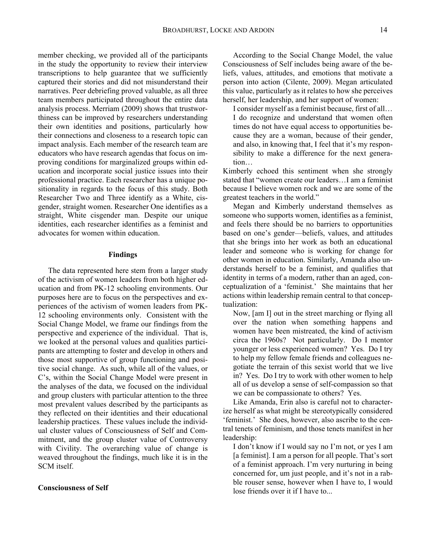member checking, we provided all of the participants in the study the opportunity to review their interview transcriptions to help guarantee that we sufficiently captured their stories and did not misunderstand their narratives. Peer debriefing proved valuable, as all three team members participated throughout the entire data analysis process. Merriam (2009) shows that trustworthiness can be improved by researchers understanding their own identities and positions, particularly how their connections and closeness to a research topic can impact analysis. Each member of the research team are educators who have research agendas that focus on improving conditions for marginalized groups within education and incorporate social justice issues into their professional practice. Each researcher has a unique positionality in regards to the focus of this study. Both Researcher Two and Three identify as a White, cisgender, straight women. Researcher One identifies as a straight, White cisgender man. Despite our unique identities, each researcher identifies as a feminist and advocates for women within education.

## **Findings**

The data represented here stem from a larger study of the activism of women leaders from both higher education and from PK-12 schooling environments. Our purposes here are to focus on the perspectives and experiences of the activism of women leaders from PK-12 schooling environments only. Consistent with the Social Change Model, we frame our findings from the perspective and experience of the individual. That is, we looked at the personal values and qualities participants are attempting to foster and develop in others and those most supportive of group functioning and positive social change. As such, while all of the values, or C's, within the Social Change Model were present in the analyses of the data, we focused on the individual and group clusters with particular attention to the three most prevalent values described by the participants as they reflected on their identities and their educational leadership practices. These values include the individual cluster values of Consciousness of Self and Commitment, and the group cluster value of Controversy with Civility. The overarching value of change is weaved throughout the findings, much like it is in the SCM itself.

## **Consciousness of Self**

According to the Social Change Model, the value Consciousness of Self includes being aware of the beliefs, values, attitudes, and emotions that motivate a person into action (Cilente, 2009). Megan articulated this value, particularly as it relates to how she perceives herself, her leadership, and her support of women:

I consider myself as a feminist because, first of all…

I do recognize and understand that women often times do not have equal access to opportunities because they are a woman, because of their gender, and also, in knowing that, I feel that it's my responsibility to make a difference for the next generation…

Kimberly echoed this sentiment when she strongly stated that "women create our leaders…I am a feminist because I believe women rock and we are some of the greatest teachers in the world."

Megan and Kimberly understand themselves as someone who supports women, identifies as a feminist, and feels there should be no barriers to opportunities based on one's gender—beliefs, values, and attitudes that she brings into her work as both an educational leader and someone who is working for change for other women in education. Similarly, Amanda also understands herself to be a feminist, and qualifies that identity in terms of a modern, rather than an aged, conceptualization of a 'feminist.' She maintains that her actions within leadership remain central to that conceptualization:

Now, [am I] out in the street marching or flying all over the nation when something happens and women have been mistreated, the kind of activism circa the 1960s? Not particularly. Do I mentor younger or less experienced women? Yes. Do I try to help my fellow female friends and colleagues negotiate the terrain of this sexist world that we live in? Yes. Do I try to work with other women to help all of us develop a sense of self-compassion so that we can be compassionate to others? Yes.

Like Amanda, Erin also is careful not to characterize herself as what might be stereotypically considered 'feminist.' She does, however, also ascribe to the central tenets of feminism, and those tenets manifest in her leadership:

I don't know if I would say no I'm not, or yes I am [a feminist]. I am a person for all people. That's sort of a feminist approach. I'm very nurturing in being concerned for, um just people, and it's not in a rabble rouser sense, however when I have to, I would lose friends over it if I have to...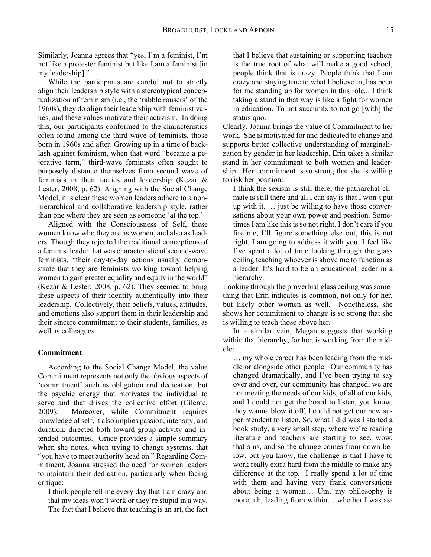Similarly, Joanna agrees that "yes, I'm a feminist, I'm not like a protester feminist but like I am a feminist [in my leadership]."

While the participants are careful not to strictly align their leadership style with a stereotypical conceptualization of feminism (i.e., the 'rabble rousers' of the 1960s), they do align their leadership with feminist values, and these values motivate their activism. In doing this, our participants conformed to the characteristics often found among the third wave of feminists, those born in 1960s and after. Growing up in a time of backlash against feminism, when that word "became a pejorative term," third-wave feminists often sought to purposely distance themselves from second wave of feminists in their tactics and leadership (Kezar & Lester, 2008, p. 62). Aligning with the Social Change Model, it is clear these women leaders adhere to a nonhierarchical and collaborative leadership style, rather than one where they are seen as someone 'at the top.'

Aligned with the Consciousness of Self, these women know who they are as women, and also as leaders. Though they rejected the traditional conceptions of a feminist leader that was characteristic of second-wave feminists, "their day-to-day actions usually demonstrate that they are feminists working toward helping women to gain greater equality and equity in the world" (Kezar & Lester, 2008, p. 62). They seemed to bring these aspects of their identity authentically into their leadership. Collectively, their beliefs, values, attitudes, and emotions also support them in their leadership and their sincere commitment to their students, families, as well as colleagues.

## **Commitment**

According to the Social Change Model, the value Commitment represents not only the obvious aspects of 'commitment' such as obligation and dedication, but the psychic energy that motivates the individual to serve and that drives the collective effort (Cilente, 2009). Moreover, while Commitment requires knowledge of self, it also implies passion, intensity, and duration, directed both toward group activity and intended outcomes. Grace provides a simple summary when she notes, when trying to change systems, that "you have to meet authority head on." Regarding Commitment, Joanna stressed the need for women leaders to maintain their dedication, particularly when facing critique:

I think people tell me every day that I am crazy and that my ideas won't work or they're stupid in a way. The fact that I believe that teaching is an art, the fact that I believe that sustaining or supporting teachers is the true root of what will make a good school, people think that is crazy. People think that I am crazy and staying true to what I believe in, has been for me standing up for women in this role... I think taking a stand in that way is like a fight for women in education. To not succumb, to not go [with] the status quo.

Clearly, Joanna brings the value of Commitment to her work. She is motivated for and dedicated to change and supports better collective understanding of marginalization by gender in her leadership. Erin takes a similar stand in her commitment to both women and leadership. Her commitment is so strong that she is willing to risk her position:

I think the sexism is still there, the patriarchal climate is still there and all I can say is that I won't put up with it. … just be willing to have those conversations about your own power and position. Sometimes I am like this is so not right. I don't care if you fire me, I'll figure something else out, this is not right, I am going to address it with you. I feel like I've spent a lot of time looking through the glass ceiling teaching whoever is above me to function as a leader. It's hard to be an educational leader in a hierarchy.

Looking through the proverbial glass ceiling was something that Erin indicates is common, not only for her, but likely other women as well. Nonetheless, she shows her commitment to change is so strong that she is willing to teach those above her.

In a similar vein, Megan suggests that working within that hierarchy, for her, is working from the middle:

… my whole career has been leading from the middle or alongside other people. Our community has changed dramatically, and I've been trying to say over and over, our community has changed, we are not meeting the needs of our kids, of all of our kids, and I could not get the board to listen, you know, they wanna blow it off, I could not get our new superintendent to listen. So, what I did was I started a book study, a very small step, where we're reading literature and teachers are starting to see, wow, that's us, and so the change comes from down below, but you know, the challenge is that I have to work really extra hard from the middle to make any difference at the top. I really spend a lot of time with them and having very frank conversations about being a woman… Um, my philosophy is more, uh, leading from within… whether I was as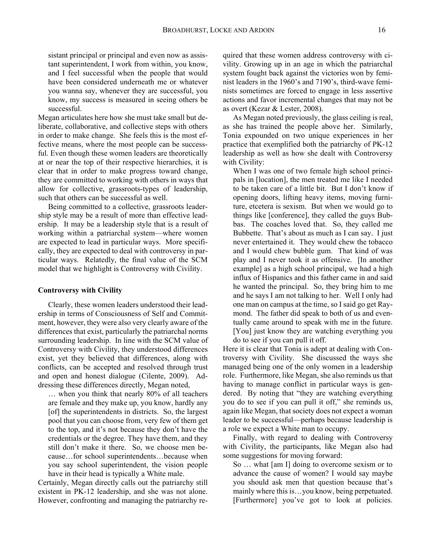sistant principal or principal and even now as assistant superintendent, I work from within, you know, and I feel successful when the people that would have been considered underneath me or whatever you wanna say, whenever they are successful, you know, my success is measured in seeing others be successful.

Megan articulates here how she must take small but deliberate, collaborative, and collective steps with others in order to make change. She feels this is the most effective means, where the most people can be successful. Even though these women leaders are theoretically at or near the top of their respective hierarchies, it is clear that in order to make progress toward change, they are committed to working with others in ways that allow for collective, grassroots-types of leadership, such that others can be successful as well.

Being committed to a collective, grassroots leadership style may be a result of more than effective leadership. It may be a leadership style that is a result of working within a patriarchal system—where women are expected to lead in particular ways. More specifically, they are expected to deal with controversy in particular ways. Relatedly, the final value of the SCM model that we highlight is Controversy with Civility.

## **Controversy with Civility**

Clearly, these women leaders understood their leadership in terms of Consciousness of Self and Commitment, however, they were also very clearly aware of the differences that exist, particularly the patriarchal norms surrounding leadership. In line with the SCM value of Controversy with Civility, they understood differences exist, yet they believed that differences, along with conflicts, can be accepted and resolved through trust and open and honest dialogue (Cilente, 2009). Addressing these differences directly, Megan noted,

… when you think that nearly 80% of all teachers are female and they make up, you know, hardly any [of] the superintendents in districts. So, the largest pool that you can choose from, very few of them get to the top, and it's not because they don't have the credentials or the degree. They have them, and they still don't make it there. So, we choose men because…for school superintendents…because when you say school superintendent, the vision people have in their head is typically a White male.

existent in PK-12 leadership, and she was not alone. Certainly, Megan directly calls out the patriarchy still However, confronting and managing the patriarchy re-

quired that these women address controversy with civility. Growing up in an age in which the patriarchal system fought back against the victories won by feminist leaders in the 1960's and 7190's, third-wave feminists sometimes are forced to engage in less assertive actions and favor incremental changes that may not be as overt (Kezar & Lester, 2008).

As Megan noted previously, the glass ceiling is real, as she has trained the people above her. Similarly, Tonia expounded on two unique experiences in her practice that exemplified both the patriarchy of PK-12 leadership as well as how she dealt with Controversy with Civility:

When I was one of two female high school principals in [location], the men treated me like I needed to be taken care of a little bit. But I don't know if opening doors, lifting heavy items, moving furniture, etcetera is sexism. But when we would go to things like [conference], they called the guys Bubbas. The coaches loved that. So, they called me Bubbette. That's about as much as I can say. I just never entertained it. They would chew the tobacco and I would chew bubble gum. That kind of was play and I never took it as offensive. [In another example] as a high school principal, we had a high influx of Hispanics and this father came in and said he wanted the principal. So, they bring him to me and he says I am not talking to her. Well I only had one man on campus at the time, so I said go get Raymond. The father did speak to both of us and eventually came around to speak with me in the future. [You] just know they are watching everything you do to see if you can pull it off.

Here it is clear that Tonia is adept at dealing with Controversy with Civility. She discussed the ways she managed being one of the only women in a leadership role. Furthermore, like Megan, she also reminds us that having to manage conflict in particular ways is gendered. By noting that "they are watching everything you do to see if you can pull it off," she reminds us, again like Megan, that society does not expect a woman leader to be successful—perhaps because leadership is a role we expect a White man to occupy.

Finally, with regard to dealing with Controversy with Civility, the participants, like Megan also had some suggestions for moving forward:

So … what [am I] doing to overcome sexism or to advance the cause of women? I would say maybe you should ask men that question because that's mainly where this is…you know, being perpetuated. [Furthermore] you've got to look at policies.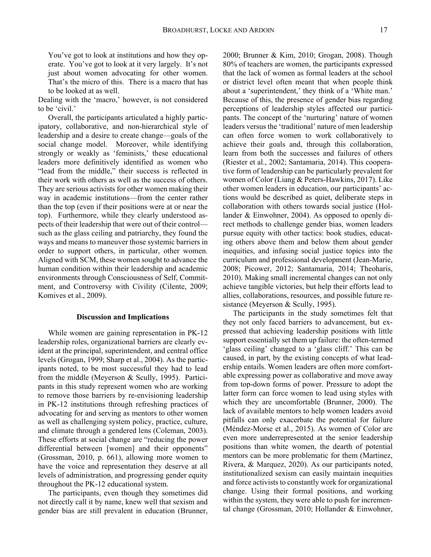erate. You've got to look at it very largely. It's not You've got to look at institutions and how they opjust about women advocating for other women. That's the micro of this. There is a macro that has to be looked at as well.

Dealing with the 'macro,' however, is not considered to be 'civil.'

Overall, the participants articulated a highly participatory, collaborative, and non-hierarchical style of leadership and a desire to create change—goals of the social change model. Moreover, while identifying strongly or weakly as 'feminists,' these educational leaders more definitively identified as women who "lead from the middle," their success is reflected in their work with others as well as the success of others. They are serious activists for other women making their way in academic institutions—from the center rather than the top (even if their positions were at or near the top). Furthermore, while they clearly understood aspects of their leadership that were out of their control such as the glass ceiling and patriarchy, they found the ways and means to maneuver those systemic barriers in order to support others, in particular, other women. Aligned with SCM, these women sought to advance the human condition within their leadership and academic environments through Consciousness of Self, Commitment, and Controversy with Civility (Cilente, 2009; Komives et al., 2009).

## **Discussion and Implications**

While women are gaining representation in PK-12 leadership roles, organizational barriers are clearly evident at the principal, superintendent, and central office levels (Grogan, 1999; Sharp et al., 2004). As the participants noted, to be most successful they had to lead from the middle (Meyerson & Scully, 1995). Participants in this study represent women who are working to remove those barriers by re-envisioning leadership in PK-12 institutions through refreshing practices of advocating for and serving as mentors to other women as well as challenging system policy, practice, culture, and climate through a gendered lens (Coleman, 2003). These efforts at social change are "reducing the power differential between [women] and their opponents" (Grossman, 2010, p. 661), allowing more women to have the voice and representation they deserve at all levels of administration, and progressing gender equity throughout the PK-12 educational system.

The participants, even though they sometimes did not directly call it by name, knew well that sexism and gender bias are still prevalent in education (Brunner, 2000; Brunner & Kim, 2010; Grogan, 2008). Though 80% of teachers are women, the participants expressed that the lack of women as formal leaders at the school or district level often meant that when people think about a 'superintendent,' they think of a 'White man.' Because of this, the presence of gender bias regarding perceptions of leadership styles affected our participants. The concept of the 'nurturing' nature of women leaders versus the 'traditional' nature of men leadership can often force women to work collaboratively to achieve their goals and, through this collaboration, learn from both the successes and failures of others (Riester et al., 2002; Santamaria, 2014). This cooperative form of leadership can be particularly prevalent for women of Color (Liang & Peters-Hawkins, 2017). Like other women leaders in education, our participants' actions would be described as quiet, deliberate steps in collaboration with others towards social justice (Hollander & Einwohner, 2004). As opposed to openly direct methods to challenge gender bias, women leaders pursue equity with other tactics: book studies, educating others above them and below them about gender inequities, and infusing social justice topics into the curriculum and professional development (Jean-Marie, 2008; Picower, 2012; Santamaria, 2014; Theoharis, 2010). Making small incremental changes can not only achieve tangible victories, but help their efforts lead to allies, collaborations, resources, and possible future resistance (Meyerson & Scully, 1995).

The participants in the study sometimes felt that they not only faced barriers to advancement, but expressed that achieving leadership positions with little support essentially set them up failure: the often-termed 'glass ceiling' changed to a 'glass cliff.' This can be caused, in part, by the existing concepts of what leadership entails. Women leaders are often more comfortable expressing power as collaborative and move away from top-down forms of power. Pressure to adopt the latter form can force women to lead using styles with which they are uncomfortable (Brunner, 2000). The lack of available mentors to help women leaders avoid pitfalls can only exacerbate the potential for failure (Méndez-Morse et al., 2015). As women of Color are even more underrepresented at the senior leadership positions than white women, the dearth of potential mentors can be more problematic for them (Martinez, Rivera, & Marquez, 2020). As our participants noted, institutionalized sexism can easily maintain inequities and force activists to constantly work for organizational change. Using their formal positions, and working within the system, they were able to push for incremental change (Grossman, 2010; Hollander & Einwohner,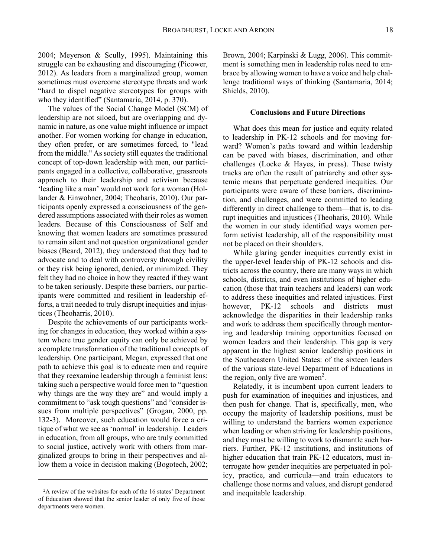2004; Meyerson & Scully, 1995). Maintaining this struggle can be exhausting and discouraging (Picower, 2012). As leaders from a marginalized group, women sometimes must overcome stereotype threats and work "hard to dispel negative stereotypes for groups with who they identified" (Santamaria, 2014, p. 370).

or they risk being ignored, denied, or minimized. They The values of the Social Change Model (SCM) of leadership are not siloed, but are overlapping and dynamic in nature, as one value might influence or impact another. For women working for change in education, they often prefer, or are sometimes forced, to "lead from the middle." As society still equates the traditional concept of top-down leadership with men, our participants engaged in a collective, collaborative, grassroots approach to their leadership and activism because 'leading like a man' would not work for a woman (Hollander & Einwohner, 2004; Theoharis, 2010). Our participants openly expressed a consciousness of the gendered assumptions associated with their roles as women leaders. Because of this Consciousness of Self and knowing that women leaders are sometimes pressured to remain silent and not question organizational gender biases (Beard, 2012), they understood that they had to advocate and to deal with controversy through civility felt they had no choice in how they reacted if they want to be taken seriously. Despite these barriers, our participants were committed and resilient in leadership efforts, a trait needed to truly disrupt inequities and injustices (Theoharris, 2010).

Despite the achievements of our participants working for changes in education, they worked within a system where true gender equity can only be achieved by a complete transformation of the traditional concepts of leadership. One participant, Megan, expressed that one path to achieve this goal is to educate men and require that they reexamine leadership through a feminist lens: taking such a perspective would force men to "question why things are the way they are" and would imply a commitment to "ask tough questions" and "consider issues from multiple perspectives" (Grogan, 2000, pp. 132-3). Moreover, such education would force a critique of what we see as 'normal' in leadership. Leaders in education, from all groups, who are truly committed to social justice, actively work with others from marginalized groups to bring in their perspectives and allow them a voice in decision making (Bogotech, 2002;

Brown, 2004; Karpinski & Lugg, 2006). This commitment is something men in leadership roles need to embrace by allowing women to have a voice and help challenge traditional ways of thinking (Santamaria, 2014; Shields, 2010).

## **Conclusions and Future Directions**

What does this mean for justice and equity related to leadership in PK-12 schools and for moving forward? Women's paths toward and within leadership can be paved with biases, discrimination, and other challenges (Locke  $&$  Hayes, in press). These twisty tracks are often the result of patriarchy and other systemic means that perpetuate gendered inequities. Our participants were aware of these barriers, discrimination, and challenges, and were committed to leading differently in direct challenge to them—that is, to disrupt inequities and injustices (Theoharis, 2010). While the women in our study identified ways women perform activist leadership, all of the responsibility must not be placed on their shoulders.

While glaring gender inequities currently exist in the upper-level leadership of PK-12 schools and districts across the country, there are many ways in which schools, districts, and even institutions of higher education (those that train teachers and leaders) can work to address these inequities and related injustices. First however, PK-12 schools and districts must acknowledge the disparities in their leadership ranks and work to address them specifically through mentoring and leadership training opportunities focused on women leaders and their leadership. This gap is very apparent in the highest senior leadership positions in the Southeastern United States: of the sixteen leaders of the various state-level Department of Educations in the region, only five are women<sup>2</sup>.

Relatedly, it is incumbent upon current leaders to push for examination of inequities and injustices, and then push for change. That is, specifically, men, who occupy the majority of leadership positions, must be willing to understand the barriers women experience when leading or when striving for leadership positions, and they must be willing to work to dismantle such barriers. Further, PK-12 institutions, and institutions of higher education that train PK-12 educators, must interrogate how gender inequities are perpetuated in policy, practice, and curricula—and train educators to challenge those norms and values, and disrupt gendered and inequitable leadership.

<sup>&</sup>lt;sup>2</sup>A review of the websites for each of the 16 states' Department of Education showed that the senior leader of only five of those departments were women.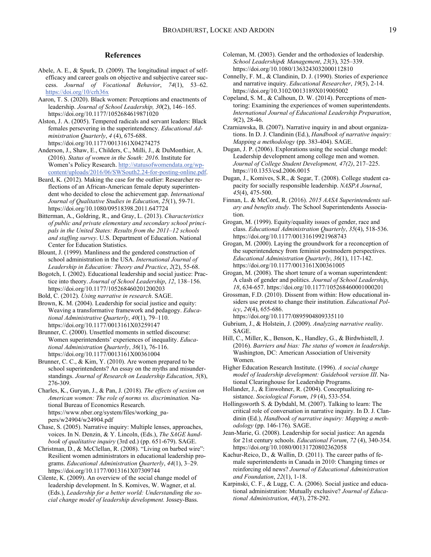#### **References**

- https://doi.org/10/crh36x Abele, A. E., & Spurk, D. (2009). The longitudinal impact of selfefficacy and career goals on objective and subjective career success. *Journal of Vocational Behavior*, *74*(1), 53–62.
- Aaron, T. S. (2020). Black women: Perceptions and enactments of leadership. *Journal of School Leadership, 30*(2), 146–165. <https://doi.org/10.1177/1052684619871020>
- Alston, J. A. (2005). Tempered radicals and servant leaders: Black females persevering in the superintendency. *Educational Administration Quarterly*, *4* (4), 675-688. <https://doi.org/10.1177/0013161X04274275>
- Anderson, J., Shaw, E., Childers, C., Milli, J., & DuMonthier, A. (2016). *Status of women in the South: 2016*. Institute for Women's Policy Research.<http://statusofwomendata.org/wp>content/uploads/2016/06/SWSouth2.24-for-posting-online.pdf.
- Beard, K. (2012). Making the case for the outlier: Researcher reflections of an African-American female deputy superintendent who decided to close the achievement gap. *International Journal of Qualitative Studies in Education*, *25*(1), 59-71. <https://doi.org/10.1080/09518398.2011.647724>
- Bitterman, A., Goldring, R., and Gray, L. (2013). *Characteristics of public and private elementary and secondary school principals in the United States: Results from the 2011–12 schools and staffing survey*. U.S. Department of Education. National Center for Education Statistics.
- Blount, J. (1999). Manliness and the gendered construction of school administration in the USA. *International Journal of Leadership in Education: Theory and Practice*, *2*(2), 55-68.
- Bogotch, I. (2002). Educational leadership and social justice: Practice into theory. *Journal of School Leadership*, *12*, 138–156. <https://doi.org/10.1177/105268460201200203>
- Bold, C. (2012). *Using narrative in research*. SAGE.
- Brown, K. M. (2004). Leadership for social justice and equity: Weaving a transformative framework and pedagogy. *Educational Administrative Quarterly*, *40*(1), 79–110. <https://doi.org/10.1177/0013161X03259147>
- Brunner, C. (2000). Unsettled moments in settled discourse: Women superintendents' experiences of inequality. *Educational Administration Quarterly*, *36*(1), 76-116. <https://doi.org/10.1177/0013161X00361004>
- Brunner, C. C., & Kim, Y. (2010). Are women prepared to be school superintendents? An essay on the myths and misunderstandings. *Journal of Research on Leadership Education*, *5*(8), 276-309.
- Charles, K., Guryan, J., & Pan, J. (2018). *The effects of sexism on American women: The role of norms vs. discrimination.* National Bureau of Economics Research. [https://www.nber.org/system/files/working\\_pa](https://www.nber.org/system/files/working_pa)pers/w24904/w24904.pdf
- Chase, S. (2005). Narrative inquiry: Multiple lenses, approaches, voices. In N. Denzin, & Y. Lincoln, (Eds.), *The SAGE handbook of qualitative inquiry* (3rd ed.) (pp. 651-679). SAGE.
- Christman, D., & McClellan, R. (2008). "Living on barbed wire": Resilient women administrators in educational leadership programs. *Educational Administration Quarterly*, *44*(1), 3–29. <https://doi.org/10.1177/0013161X07309744>
- Cilente, K. (2009). An overview of the social change model of leadership development. In S. Komives, W. Wagner, et al. (Eds.), *Leadership for a better world: Understanding the social change model of leadership development.* Jossey-Bass.
- Coleman, M. (2003). Gender and the orthodoxies of leadership. *School Leadership& Management*, *23*(3), 325–339. <https://doi.org/10.1080/1363243032000112810>
- Connelly, F. M., & Clandinin, D. J. (1990). Stories of experience and narrative inquiry. *Educational Researcher*, *19*(5), 2-14. <https://doi.org/10.3102/0013189X019005002>
- Copeland, S. M., & Calhoun, D. W. (2014). Perceptions of mentoring: Examining the experiences of women superintendents. *International Journal of Educational Leadership Preparation*, *9*(2), 28-46.
- Czarniawska, B. (2007). Narrative inquiry in and about organizations. In D. J. Clandinin (Ed.), *Handbook of narrative inquiry: Mapping a methodology* (pp. 383-404). SAGE.
- Dugan, J. P. (2006). Explorations using the social change model: Leadership development among college men and women. *Journal of College Student Development, 47(2)*, 217–225. <https://10.1353/csd.2006.0015>
- Dugan, J., Komives, S.R., & Segar, T. (2008). College student capacity for socially responsible leadership. *NASPA Journal*, *45*(4), 475-500.
- Finnan, L. & McCord, R. (2016). *2015 AASA Superintendents salary and benefits study*. The School Superintendents Association.
- Grogan, M. (1999). Equity/equality issues of gender, race and class. *Educational Administration Quarterly*, *35*(4), 518-536. <https://doi.org/10.1177/00131619921968743>
- Grogan, M. (2000). Laying the groundwork for a reconception of the superintendency from feminist postmodern perspectives. *Educational Administration Quarterly*, *36*(1), 117-142. <https://doi.org/10.1177/0013161X00361005>
- Grogan, M. (2008). The short tenure of a woman superintendent: A clash of gender and politics. *Journal of School Leadership*, *18*, 634-657.<https://doi.org/10.1177/105268460001000201>
- Grossman, F.D. (2010). Dissent from within: How educational insiders use protest to change their institution. *Educational Policy*, *24*(4), 655-686.

<https://doi.org/10.1177/0895904809335110>

- Gubrium, J., & Holstein, J. (2009). *Analyzing narrative reality*. SAGE.
- Hill, C., Miller, K., Benson, K., Handley, G., & Birdwhistell, J. (2016). *Barriers and bias: The status of women in leadership*. Washington, DC: American Association of University Women.
- Higher Education Research Institute. (1996). *A social change model of leadership development: Guidebook version III*. National Clearinghouse for Leadership Programs.
- Hollander, J., & Einwohner, R. (2004). Conceptualizing resistance. *Sociological Forum*, *19* (4), 533-554.
- Hollingsworth S. & Dybdahl, M. (2007). Talking to learn: The critical role of conversation in narrative inquiry. In D. J. Clandinin (Ed.), *Handbook of narrative inquiry: Mapping a methodology* (pp. 146-176). SAGE.
- Jean-Marie, G. (2008). Leadership for social justice: An agenda for 21st century schools. *Educational Forum*, *72* (4), 340-354. <https://doi.org/10.1080/00131720802362058>
- Kachur-Reico, D., & Wallin, D. (2011). The career paths of female superintendents in Canada in 2010: Changing times or reinforcing old news? *Journal of Educational Administration and Foundation*, *22*(1), 1-18.
- Karpinski, C. F., & Lugg, C. A. (2006). Social justice and educational administration: Mutually exclusive? *Journal of Educational Administration*, *44*(3), 278-292.